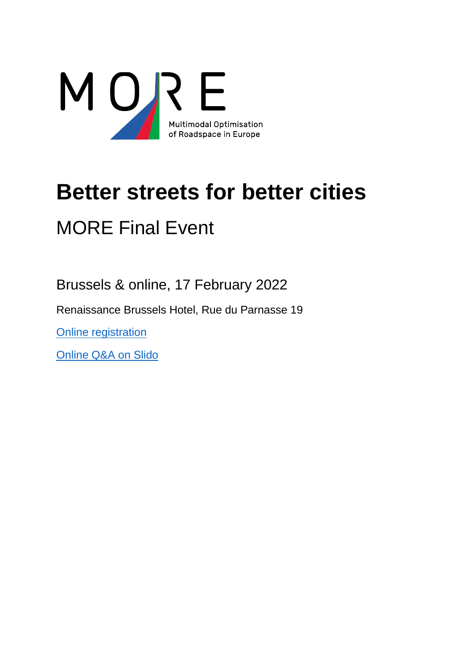

# **Better streets for better cities** MORE Final Event

Brussels & online, 17 February 2022

Renaissance Brussels Hotel, Rue du Parnasse 19

[Online registration](https://www.roadspace.eu/events/better-streets-for-better-cities-final-event-of-the-more-project)

[Online Q&A](https://app.sli.do/event/e1WrL6ynDHHPERbyrL7T6y) on Slido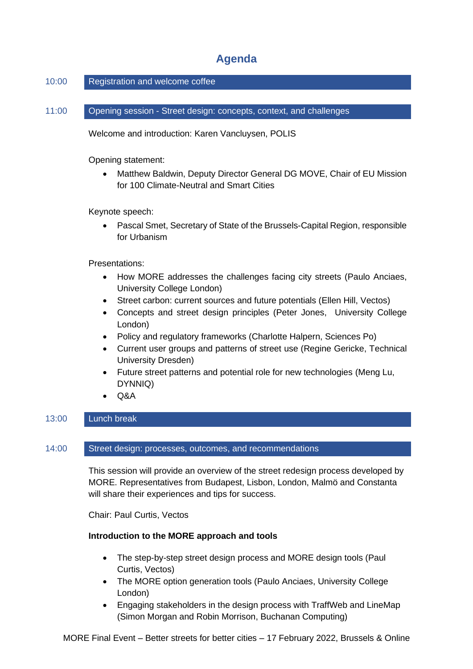# **Agenda**

# 10:00 Registration and welcome coffee

11:00 Opening session - Street design: concepts, context, and challenges

Welcome and introduction: Karen Vancluysen, POLIS

Opening statement:

• Matthew Baldwin, Deputy Director General DG MOVE, Chair of EU Mission for 100 Climate-Neutral and Smart Cities

Keynote speech:

• Pascal Smet, Secretary of State of the Brussels-Capital Region, responsible for Urbanism

Presentations:

- How MORE addresses the challenges facing city streets (Paulo Anciaes, University College London)
- Street carbon: current sources and future potentials (Ellen Hill, Vectos)
- Concepts and street design principles (Peter Jones, University College London)
- Policy and regulatory frameworks (Charlotte Halpern, Sciences Po)
- Current user groups and patterns of street use (Regine Gericke, Technical University Dresden)
- Future street patterns and potential role for new technologies (Meng Lu, DYNNIQ)
- Q&A

## 13:00 Lunch break

#### 14:00 Street design: processes, outcomes, and recommendations

This session will provide an overview of the street redesign process developed by MORE. Representatives from Budapest, Lisbon, London, Malmö and Constanta will share their experiences and tips for success.

Chair: Paul Curtis, Vectos

## **Introduction to the MORE approach and tools**

- The step-by-step street design process and MORE design tools (Paul Curtis, Vectos)
- The MORE option generation tools (Paulo Anciaes, University College London)
- Engaging stakeholders in the design process with TraffWeb and LineMap (Simon Morgan and Robin Morrison, Buchanan Computing)